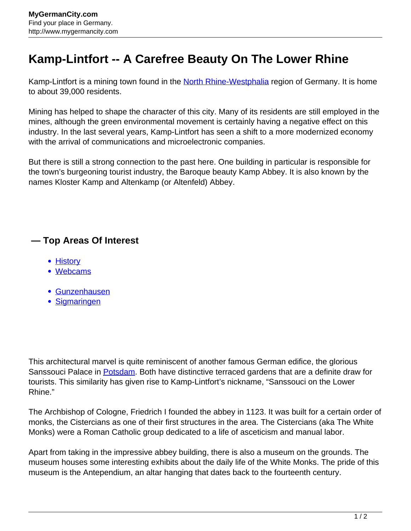## **Kamp-Lintfort -- A Carefree Beauty On The Lower Rhine**

Kamp-Lintfort is a mining town found in the [North Rhine-Westphalia](http://www.mygermancity.com/north-rhine-westphalia) region of Germany. It is home to about 39,000 residents.

Mining has helped to shape the character of this city. Many of its residents are still employed in the mines, although the green environmental movement is certainly having a negative effect on this industry. In the last several years, Kamp-Lintfort has seen a shift to a more modernized economy with the arrival of communications and microelectronic companies.

But there is still a strong connection to the past here. One building in particular is responsible for the town's burgeoning tourist industry, the Baroque beauty Kamp Abbey. It is also known by the names Kloster Kamp and Altenkamp (or Altenfeld) Abbey.

## **— Top Areas Of Interest**

- [History](http://www.mygermancity.com/leipzig-history)
- [Webcams](http://www.mygermancity.com/neustadt-holstein-webcams)
- [Gunzenhausen](http://www.mygermancity.com/gunzenhausen)
- [Sigmaringen](http://www.mygermancity.com/sigmaringen)

This architectural marvel is quite reminiscent of another famous German edifice, the glorious Sanssouci Palace in **[Potsdam](http://www.mygermancity.com/potsdam)**. Both have distinctive terraced gardens that are a definite draw for tourists. This similarity has given rise to Kamp-Lintfort's nickname, "Sanssouci on the Lower Rhine."

The Archbishop of Cologne, Friedrich I founded the abbey in 1123. It was built for a certain order of monks, the Cistercians as one of their first structures in the area. The Cistercians (aka The White Monks) were a Roman Catholic group dedicated to a life of asceticism and manual labor.

Apart from taking in the impressive abbey building, there is also a museum on the grounds. The museum houses some interesting exhibits about the daily life of the White Monks. The pride of this museum is the Antependium, an altar hanging that dates back to the fourteenth century.